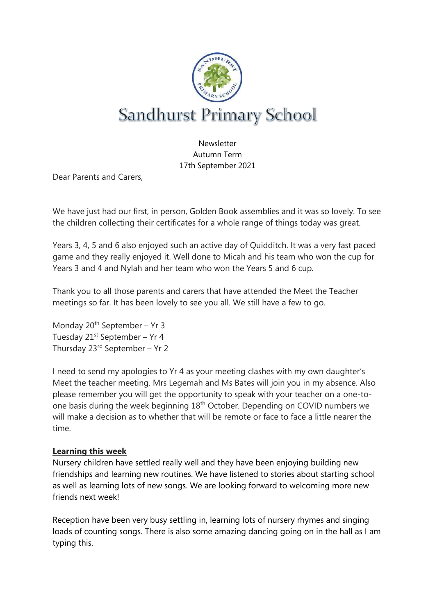

Newsletter Autumn Term 17th September 2021

Dear Parents and Carers,

We have just had our first, in person, Golden Book assemblies and it was so lovely. To see the children collecting their certificates for a whole range of things today was great.

Years 3, 4, 5 and 6 also enjoyed such an active day of Quidditch. It was a very fast paced game and they really enjoyed it. Well done to Micah and his team who won the cup for Years 3 and 4 and Nylah and her team who won the Years 5 and 6 cup.

Thank you to all those parents and carers that have attended the Meet the Teacher meetings so far. It has been lovely to see you all. We still have a few to go.

Monday  $20^{th}$  September – Yr 3 Tuesday  $21^{st}$  September – Yr 4 Thursday 23rd September – Yr 2

I need to send my apologies to Yr 4 as your meeting clashes with my own daughter's Meet the teacher meeting. Mrs Legemah and Ms Bates will join you in my absence. Also please remember you will get the opportunity to speak with your teacher on a one-toone basis during the week beginning 18th October. Depending on COVID numbers we will make a decision as to whether that will be remote or face to face a little nearer the time.

# **Learning this week**

Nursery children have settled really well and they have been enjoying building new friendships and learning new routines. We have listened to stories about starting school as well as learning lots of new songs. We are looking forward to welcoming more new friends next week!

Reception have been very busy settling in, learning lots of nursery rhymes and singing loads of counting songs. There is also some amazing dancing going on in the hall as I am typing this.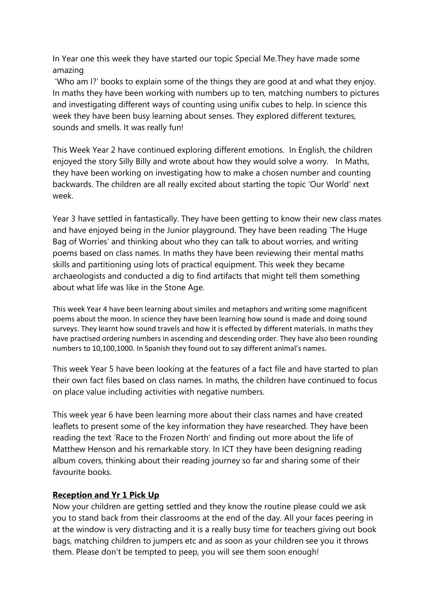In Year one this week they have started our topic Special Me.They have made some amazing

'Who am I?' books to explain some of the things they are good at and what they enjoy. In maths they have been working with numbers up to ten, matching numbers to pictures and investigating different ways of counting using unifix cubes to help. In science this week they have been busy learning about senses. They explored different textures, sounds and smells. It was really fun!

This Week Year 2 have continued exploring different emotions. In English, the children enjoyed the story Silly Billy and wrote about how they would solve a worry. In Maths, they have been working on investigating how to make a chosen number and counting backwards. The children are all really excited about starting the topic 'Our World' next week.

Year 3 have settled in fantastically. They have been getting to know their new class mates and have enjoyed being in the Junior playground. They have been reading 'The Huge Bag of Worries' and thinking about who they can talk to about worries, and writing poems based on class names. In maths they have been reviewing their mental maths skills and partitioning using lots of practical equipment. This week they became archaeologists and conducted a dig to find artifacts that might tell them something about what life was like in the Stone Age.

This week Year 4 have been learning about similes and metaphors and writing some magnificent poems about the moon. In science they have been learning how sound is made and doing sound surveys. They learnt how sound travels and how it is effected by different materials. In maths they have practised ordering numbers in ascending and descending order. They have also been rounding numbers to 10,100,1000. In Spanish they found out to say different animal's names.

This week Year 5 have been looking at the features of a fact file and have started to plan their own fact files based on class names. In maths, the children have continued to focus on place value including activities with negative numbers.

This week year 6 have been learning more about their class names and have created leaflets to present some of the key information they have researched. They have been reading the text 'Race to the Frozen North' and finding out more about the life of Matthew Henson and his remarkable story. In ICT they have been designing reading album covers, thinking about their reading journey so far and sharing some of their favourite books.

### **Reception and Yr 1 Pick Up**

Now your children are getting settled and they know the routine please could we ask you to stand back from their classrooms at the end of the day. All your faces peering in at the window is very distracting and it is a really busy time for teachers giving out book bags, matching children to jumpers etc and as soon as your children see you it throws them. Please don't be tempted to peep, you will see them soon enough!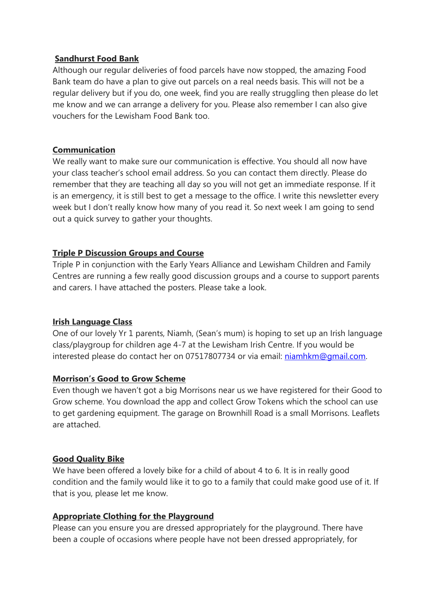### **Sandhurst Food Bank**

Although our regular deliveries of food parcels have now stopped, the amazing Food Bank team do have a plan to give out parcels on a real needs basis. This will not be a regular delivery but if you do, one week, find you are really struggling then please do let me know and we can arrange a delivery for you. Please also remember I can also give vouchers for the Lewisham Food Bank too.

#### **Communication**

We really want to make sure our communication is effective. You should all now have your class teacher's school email address. So you can contact them directly. Please do remember that they are teaching all day so you will not get an immediate response. If it is an emergency, it is still best to get a message to the office. I write this newsletter every week but I don't really know how many of you read it. So next week I am going to send out a quick survey to gather your thoughts.

### **Triple P Discussion Groups and Course**

Triple P in conjunction with the Early Years Alliance and Lewisham Children and Family Centres are running a few really good discussion groups and a course to support parents and carers. I have attached the posters. Please take a look.

### **Irish Language Class**

One of our lovely Yr 1 parents, Niamh, (Sean's mum) is hoping to set up an Irish language class/playgroup for children age 4-7 at the Lewisham Irish Centre. If you would be interested please do contact her on 07517807734 or via email: [niamhkm@gmail.com.](mailto:niamhkm@gmail.com)

### **Morrison's Good to Grow Scheme**

Even though we haven't got a big Morrisons near us we have registered for their Good to Grow scheme. You download the app and collect Grow Tokens which the school can use to get gardening equipment. The garage on Brownhill Road is a small Morrisons. Leaflets are attached.

# **Good Quality Bike**

We have been offered a lovely bike for a child of about 4 to 6. It is in really good condition and the family would like it to go to a family that could make good use of it. If that is you, please let me know.

### **Appropriate Clothing for the Playground**

Please can you ensure you are dressed appropriately for the playground. There have been a couple of occasions where people have not been dressed appropriately, for